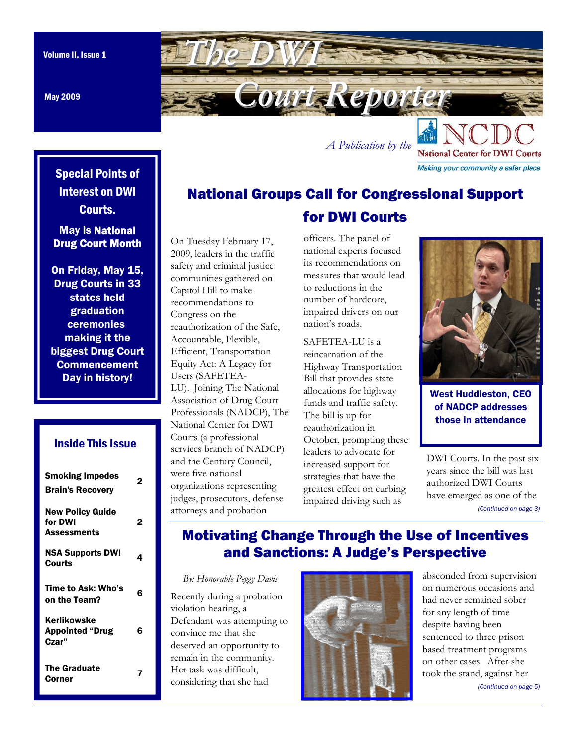May 2009

<span id="page-0-0"></span>

*A Publication by the* 

**National Center for DWI Courts** Making your community a safer place

## Special Points of Interest on DWI Courts.

### May is National Drug Court Month

On Friday, May 15, Drug Courts in 33 states held graduation ceremonies making it the biggest Drug Court **Commencement** Day in history!

## Inside This Issue

| <b>Smoking Impedes</b><br><b>Brain's Recovery</b>        |   |
|----------------------------------------------------------|---|
| <b>New Policy Guide</b><br>for DWI<br><b>Assessments</b> | 2 |
| <b>NSA Supports DWI</b><br>Courts                        | 4 |
| Time to Ask: Who's<br>on the Team?                       | 6 |
| Kerlikowske<br><b>Appointed "Drug</b><br>Czar"           | Բ |
| <b>The Graduate</b><br>Corner                            |   |

#### On Tuesday February 17, 2009, leaders in the traffic safety and criminal justice communities gathered on Capitol Hill to make recommendations to Congress on the reauthorization of the Safe, Accountable, Flexible, Efficient, Transportation Equity Act: A Legacy for Users (SAFETEA-LU). Joining The National Association of Drug Court Professionals (NADCP), The National Center for DWI Courts (a professional services branch of NADCP) and the Century Council, were five national organizations representing judges, prosecutors, defense attorneys and probation

officers. The panel of national experts focused its recommendations on measures that would lead to reductions in the number of hardcore, impaired drivers on our nation's roads.

National Groups Call for Congressional Support

for DWI Courts

SAFETEA-LU is a reincarnation of the Highway Transportation Bill that provides state allocations for highway funds and traffic safety. The bill is up for reauthorization in October, prompting these leaders to advocate for increased support for strategies that have the greatest effect on curbing impaired driving such as



West Huddleston, CEO of NADCP addresses those in attendance

DWI Courts. In the past six years since the bill was last authorized DWI Courts have emerged as one of the *[\(Continued on page 3\)](#page-2-0)* 

## Motivating Change Through the Use of Incentives and Sanctions: A Judge's Perspective

*By: Honorable Peggy Davis* 

Recently during a probation violation hearing, a Defendant was attempting to convince me that she deserved an opportunity to remain in the community. Her task was difficult, considering that she had



absconded from supervision on numerous occasions and had never remained sober for any length of time despite having been sentenced to three prison based treatment programs on other cases. After she took the stand, against her

*[\(Continued on page 5\)](#page-4-0)*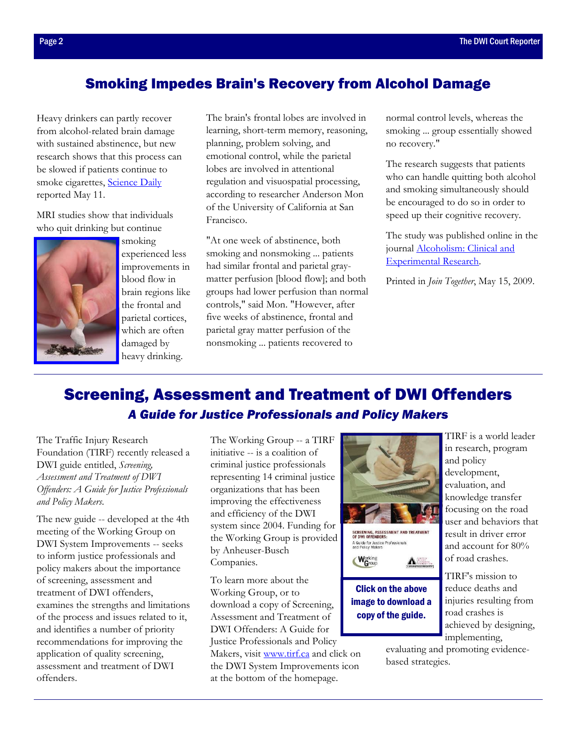## <span id="page-1-0"></span>Smoking Impedes Brain's Recovery from Alcohol Damage

Heavy drinkers can partly recover from alcohol-related brain damage with sustained abstinence, but new research shows that this process can be slowed if patients continue to smoke cigarett[es, Science Daily](http://www.sciencedaily.com/releases/2009/05/090511164225.htm) reported May 11.

MRI studies show that individuals who quit drinking but continue



smoking experienced less improvements in blood flow in brain regions like the frontal and parietal cortices, which are often damaged by heavy drinking.

The brain's frontal lobes are involved in learning, short-term memory, reasoning, planning, problem solving, and emotional control, while the parietal lobes are involved in attentional regulation and visuospatial processing, according to researcher Anderson Mon of the University of California at San Francisco.

"At one week of abstinence, both smoking and nonsmoking ... patients had similar frontal and parietal graymatter perfusion [blood flow]; and both groups had lower perfusion than normal controls," said Mon. "However, after five weeks of abstinence, frontal and parietal gray matter perfusion of the nonsmoking ... patients recovered to

normal control levels, whereas the smoking ... group essentially showed no recovery."

The research suggests that patients who can handle quitting both alcohol and smoking simultaneously should be encouraged to do so in order to speed up their cognitive recovery.

The study was published online in the [journal Alcoholism: Clinical and](http://www3.interscience.wiley.com/journal/122371192/abstract?CRETRY=1&SRETRY=0)  Experimental Research.

Printed in *Join Together*, May 15, 2009.

## Screening, Assessment and Treatment of DWI Offenders *A Guide for Justice Professionals and Policy Makers*

The Traffic Injury Research Foundation (TIRF) recently released a DWI guide entitled, *Screening, Assessment and Treatment of DWI Offenders: A Guide for Justice Professionals and Policy Makers*.

The new guide -- developed at the 4th meeting of the Working Group on DWI System Improvements -- seeks to inform justice professionals and policy makers about the importance of screening, assessment and treatment of DWI offenders, examines the strengths and limitations of the process and issues related to it, and identifies a number of priority recommendations for improving the application of quality screening, assessment and treatment of DWI offenders.

The Working Group -- a TIRF initiative -- is a coalition of criminal justice professionals representing 14 criminal justice organizations that has been improving the effectiveness and efficiency of the DWI system since 2004. Funding for the Working Group is provided by Anheuser-Busch Companies.

To learn more about the Working Group, or to download a copy of Screening, Assessment and Treatment of DWI Offenders: A Guide for Justice Professionals and Policy

Makers, [visit www.tirf.ca and](http://tirf.ca/) click on the DWI System Improvements icon at the bottom of the homepage.



SCREENING, ASSESSMENT AND TREATMENT<br>Of DWI Offenders: A Guide for Justice Professionals<br>and Policy Makers

Working<br>Group

Click on the above image to download a copy of the guide.

A

TIRF is a world leader in research, program and policy development, evaluation, and knowledge transfer focusing on the road user and behaviors that result in driver error and account for 80% of road crashes.

TIRF's mission to reduce deaths and injuries resulting from road crashes is achieved by designing, implementing,

evaluating and promoting evidencebased strategies.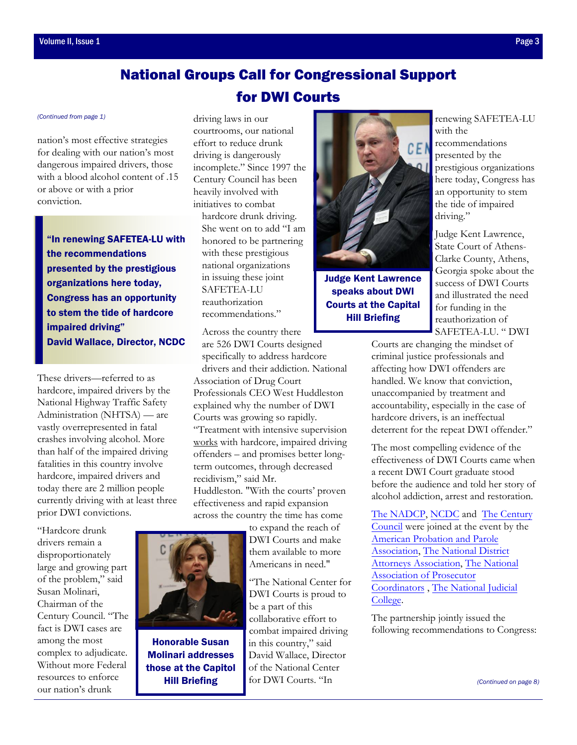## National Groups Call for Congressional Support for DWI Courts

nation's most effective strategies for dealing with our nation's most dangerous impaired drivers, those with a blood alcohol content of .15 or above or with a prior conviction.

"In renewing SAFETEA-LU with the recommendations presented by the prestigious organizations here today, Congress has an opportunity to stem the tide of hardcore impaired driving" David Wallace, Director, NCDC

These drivers—referred to as hardcore, impaired drivers by the National Highway Traffic Safety Administration (NHTSA) — are vastly overrepresented in fatal crashes involving alcohol. More than half of the impaired driving fatalities in this country involve hardcore, impaired drivers and today there are 2 million people currently driving with at least three prior DWI convictions.

"Hardcore drunk drivers remain a disproportionately large and growing part of the problem," said Susan Molinari, Chairman of the Century Council. "The fact is DWI cases are among the most complex to adjudicate. Without more Federal resources to enforce our nation's drunk

<span id="page-2-0"></span>*[\(Continued from page 1\)](#page-0-0)* driving laws in our courtrooms, our national effort to reduce drunk driving is dangerously incomplete." Since 1997 the Century Council has been heavily involved with initiatives to combat hardcore drunk driving. She went on to add "I am honored to be partnering with these prestigious national organizations in issuing these joint SAFETEA-LU reauthorization recommendations."

Across the country there

are 526 DWI Courts designed specifically to address hardcore drivers and their addiction. National Association of Drug Court Professionals CEO West Huddleston explained why the number of DWI Courts was growing so rapidly. "Treatment with intensive supervision works with hardcore, impaired driving offenders – and promises better longterm outcomes, through decreased recidivism," said Mr.

Huddleston. "With the courts' proven effectiveness and rapid expansion across the country the time has come

> to expand the reach of DWI Courts and make them available to more Americans in need."

"The National Center for DWI Courts is proud to be a part of this collaborative effort to combat impaired driving in this country," said David Wallace, Director of the National Center for DWI Courts. "In



Judge Kent Lawrence speaks about DWI Courts at the Capital Hill Briefing

renewing SAFETEA-LU with the recommendations presented by the prestigious organizations here today, Congress has an opportunity to stem the tide of impaired driving."

Judge Kent Lawrence, State Court of Athens-Clarke County, Athens, Georgia spoke about the success of DWI Courts and illustrated the need for funding in the reauthorization of SAFETEA-LU. " DWI

Courts are changing the mindset of criminal justice professionals and affecting how DWI offenders are handled. We know that conviction unaccompanied by treatment and accountability, especially in the case of hardcore drivers, is an ineffectual deterrent for the repeat DWI offender."

The most compelling evidence of the effectiveness of DWI Courts came when a recent DWI Court graduate stood before the audience and told her story of alcohol addiction, arrest and restoration.

[The NADCP, NCDC](http://www.nadcp.org/) and [The Century](http://www.centurycouncil.org/)  [Council](http://www.centurycouncil.org/) were joined at the event by the [American Probation](http://www.appa-net.org/eweb/StartPage.aspx) and Parole [Association,](http://www.appa-net.org/eweb/StartPage.aspx) [The National District](http://www.ndaa.org/) [Attorneys Association,](http://www.ndaa.org/) [The National](http://www.napcsite.org/)  [Association of Prosecutor](http://www.napcsite.org/) [Coordinators](http://www.napcsite.org/) , [The National Judicial](http://www.judges.org/)  [College](http://www.judges.org/).

The partnership jointly issued the following recommendations to Congress:

*[\(Continued on page 8\)](#page-7-0)* 



Honorable Susan Molinari addresses those at the Capitol Hill Briefing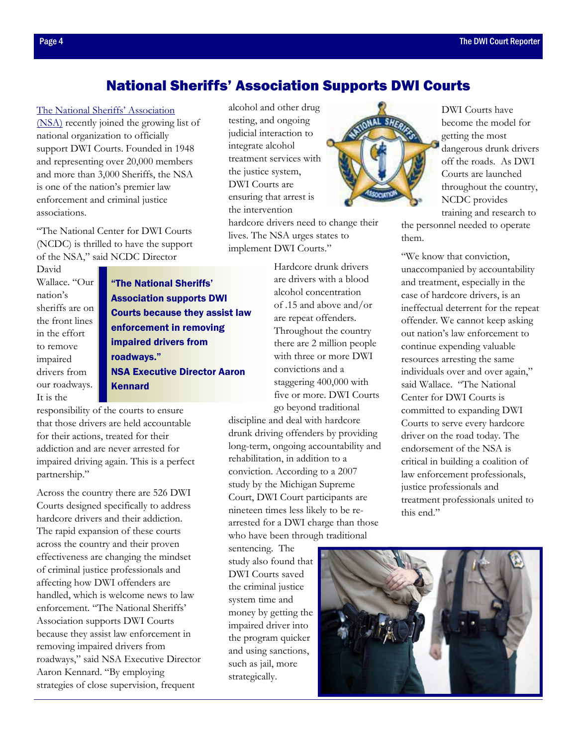## National Sheriffs' Association Supports DWI Courts

#### <span id="page-3-0"></span>[The National Sheriffs' Association](http://www.sheriffs.org/)

(NSA) recently joined the growing list of national organization to officially support DWI Courts. Founded in 1948 and representing over 20,000 members and more than 3,000 Sheriffs, the NSA is one of the nation's premier law enforcement and criminal justice associations.

"The National Center for DWI Courts (NCDC) is thrilled to have the support of the NSA," said NCDC Director

David Wallace. "Our nation's sheriffs are on the front lines in the effort to remove impaired drivers from our roadways. It is the

"The National Sheriffs' Association supports DWI Courts because they assist law enforcement in removing impaired drivers from roadways." NSA Executive Director Aaron Kennard

responsibility of the courts to ensure that those drivers are held accountable for their actions, treated for their addiction and are never arrested for impaired driving again. This is a perfect partnership."

Across the country there are 526 DWI Courts designed specifically to address hardcore drivers and their addiction. The rapid expansion of these courts across the country and their proven effectiveness are changing the mindset of criminal justice professionals and affecting how DWI offenders are handled, which is welcome news to law enforcement. "The National Sheriffs' Association supports DWI Courts because they assist law enforcement in removing impaired drivers from roadways," said NSA Executive Director Aaron Kennard. "By employing strategies of close supervision, frequent

alcohol and other drug testing, and ongoing judicial interaction to integrate alcohol treatment services with the justice system, DWI Courts are ensuring that arrest is the intervention

hardcore drivers need to change their lives. The NSA urges states to implement DWI Courts."

> Hardcore drunk drivers are drivers with a blood alcohol concentration of .15 and above and/or are repeat offenders. Throughout the country there are 2 million people with three or more DWI convictions and a staggering 400,000 with five or more. DWI Courts go beyond traditional

discipline and deal with hardcore drunk driving offenders by providing long-term, ongoing accountability and rehabilitation, in addition to a conviction. According to a 2007 study by the Michigan Supreme Court, DWI Court participants are nineteen times less likely to be rearrested for a DWI charge than those who have been through traditional

sentencing. The study also found that DWI Courts saved the criminal justice system time and money by getting the impaired driver into the program quicker and using sanctions, such as jail, more strategically.



DWI Courts have become the model for getting the most dangerous drunk drivers off the roads. As DWI Courts are launched throughout the country, NCDC provides training and research to

the personnel needed to operate them.

"We know that conviction, unaccompanied by accountability and treatment, especially in the case of hardcore drivers, is an ineffectual deterrent for the repeat offender. We cannot keep asking out nation's law enforcement to continue expending valuable resources arresting the same individuals over and over again," said Wallace. "The National Center for DWI Courts is committed to expanding DWI Courts to serve every hardcore driver on the road today. The endorsement of the NSA is critical in building a coalition of law enforcement professionals, justice professionals and treatment professionals united to this end."

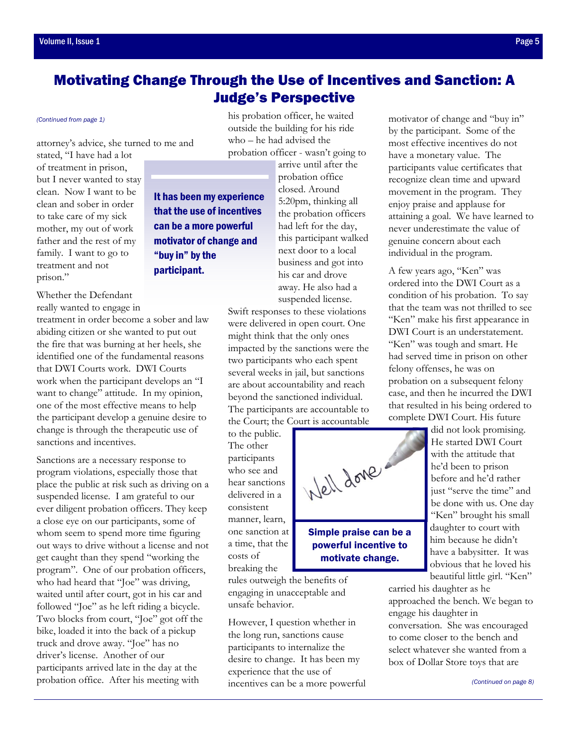## <span id="page-4-0"></span>Motivating Change Through the Use of Incentives and Sanction: A Judge's Perspective

#### *[\(Continued from page 1\)](#page-0-0)*

attorney's advice, she turned to me and

stated, "I have had a lot of treatment in prison, but I never wanted to stay clean. Now I want to be clean and sober in order to take care of my sick mother, my out of work father and the rest of my family. I want to go to treatment and not prison."

Whether the Defendant really wanted to engage in

treatment in order become a sober and law abiding citizen or she wanted to put out the fire that was burning at her heels, she identified one of the fundamental reasons that DWI Courts work. DWI Courts work when the participant develops an "I want to change" attitude. In my opinion, one of the most effective means to help the participant develop a genuine desire to change is through the therapeutic use of sanctions and incentives.

Sanctions are a necessary response to program violations, especially those that place the public at risk such as driving on a suspended license. I am grateful to our ever diligent probation officers. They keep a close eye on our participants, some of whom seem to spend more time figuring out ways to drive without a license and not get caught than they spend "working the program". One of our probation officers, who had heard that "Joe" was driving, waited until after court, got in his car and followed "Joe" as he left riding a bicycle. Two blocks from court, "Joe" got off the bike, loaded it into the back of a pickup truck and drove away. "Joe" has no driver's license. Another of our participants arrived late in the day at the probation office. After his meeting with

his probation officer, he waited outside the building for his ride who – he had advised the probation officer - wasn't going to

It has been my experience that the use of incentives can be a more powerful motivator of change and "buy in" by the participant.

arrive until after the probation office closed. Around 5:20pm, thinking all the probation officers had left for the day, this participant walked next door to a local business and got into his car and drove away. He also had a suspended license.

Swift responses to these violations were delivered in open court. One might think that the only ones impacted by the sanctions were the two participants who each spent several weeks in jail, but sanctions are about accountability and reach beyond the sanctioned individual. The participants are accountable to

to the public. The other participants who see and hear sanctions delivered in a consistent manner, learn, one sanction at a time, that the costs of breaking the

rules outweigh the benefits of engaging in unacceptable and unsafe behavior.

However, I question whether in the long run, sanctions cause participants to internalize the desire to change. It has been my experience that the use of incentives can be a more powerful motivator of change and "buy in" by the participant. Some of the most effective incentives do not have a monetary value. The participants value certificates that recognize clean time and upward movement in the program. They enjoy praise and applause for attaining a goal. We have learned to never underestimate the value of genuine concern about each individual in the program.

A few years ago, "Ken" was ordered into the DWI Court as a condition of his probation. To say that the team was not thrilled to see "Ken" make his first appearance in DWI Court is an understatement. "Ken" was tough and smart. He had served time in prison on other felony offenses, he was on probation on a subsequent felony case, and then he incurred the DWI that resulted in his being ordered to complete DWI Court. His future

> did not look promising. He started DWI Court with the attitude that he'd been to prison before and he'd rather just "serve the time" and be done with us. One day "Ken" brought his small daughter to court with him because he didn't have a babysitter. It was obvious that he loved his beautiful little girl. "Ken"

carried his daughter as he approached the bench. We began to engage his daughter in conversation. She was encouraged to come closer to the bench and select whatever she wanted from a box of Dollar Store toys that are



motivate change.

# the Court; the Court is accountable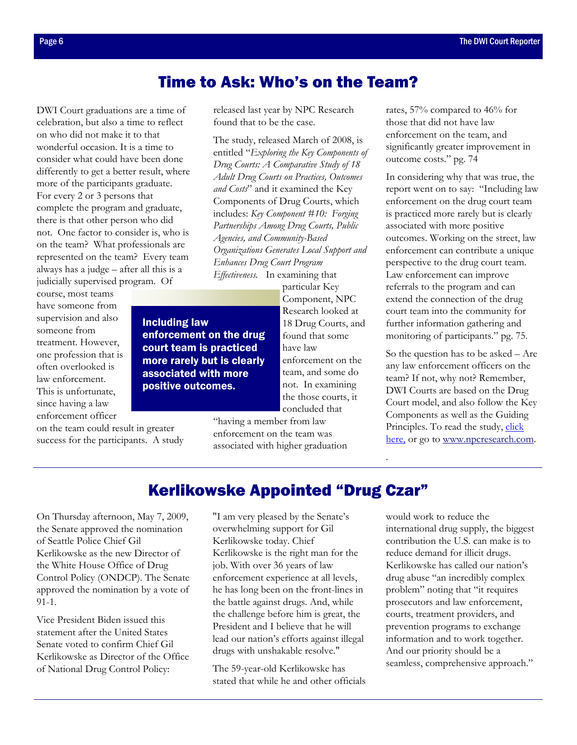## Time to Ask: Who's on the Team?

<span id="page-5-0"></span>DWI Court graduations are a time of celebration, but also a time to reflect on who did not make it to that wonderful occasion. It is a time to consider what could have been done differently to get a better result, where more of the participants graduate. For every 2 or 3 persons that complete the program and graduate, there is that other person who did not. One factor to consider is, who is on the team? What professionals are represented on the team? Every team always has a judge – after all this is a judicially supervised program. Of

Including law

court team is practiced

associated with more positive outcomes.

course, most teams have someone from supervision and also someone from treatment. However, one profession that is often overlooked is law enforcement. This is unfortunate, since having a law enforcement officer

on the team could result in greater success for the participants. A study released last year by NPC Research found that to be the case.

The study, released March of 2008, is entitled "*Exploring the Key Components of Drug Courts: A Comparative Study of 18 Adult Drug Courts on Practices, Outcomes and Costs*" and it examined the Key Components of Drug Courts, which includes: *Key Component #10: Forging Partnerships Among Drug Courts, Public Agencies, and Community-Based Organizations Generates Local Support and Enhances Drug Court Program Effectiveness.* In examining that

particular Key Component, NPC Research looked at 18 Drug Courts, and found that some have law enforcement on the team, and some do not. In examining the those courts, it concluded that enforcement on the drug more rarely but is clearly

> "having a member from law enforcement on the team was associated with higher graduation

rates, 57% compared to 46% for those that did not have law enforcement on the team, and significantly greater improvement in outcome costs." pg. 74

In considering why that was true, the report went on to say: "Including law enforcement on the drug court team is practiced more rarely but is clearly associated with more positive outcomes. Working on the street, law enforcement can contribute a unique perspective to the drug court team. Law enforcement can improve referrals to the program and can extend the connection of the drug court team into the community for further information gathering and monitoring of participants." pg. 75.

So the question has to be asked – Are any law enforcement officers on the team? If not, why not? Remember, DWI Courts are based on the Drug Court model, and also follow the Key Components as well as the Guiding Principles. To read the study, click [here,](http://npcresearch.com/reports-publications/) or go to www.npcresearch.com.

.

## Kerlikowske Appointed "Drug Czar"

On Thursday afternoon, May 7, 2009, the Senate approved the nomination of Seattle Police Chief Gil Kerlikowske as the new Director of the White House Office of Drug Control Policy (ONDCP). The Senate approved the nomination by a vote of 91-1.

Vice President Biden issued this statement after the United States Senate voted to confirm Chief Gil Kerlikowske as Director of the Office of National Drug Control Policy:

"I am very pleased by the Senate's overwhelming support for Gil Kerlikowske today. Chief Kerlikowske is the right man for the job. With over 36 years of law enforcement experience at all levels, he has long been on the front-lines in the battle against drugs. And, while the challenge before him is great, the President and I believe that he will lead our nation's efforts against illegal drugs with unshakable resolve."

The 59-year-old Kerlikowske has stated that while he and other officials

would work to reduce the international drug supply, the biggest contribution the U.S. can make is to reduce demand for illicit drugs. Kerlikowske has called our nation's drug abuse "an incredibly complex problem" noting that "it requires prosecutors and law enforcement, courts, treatment providers, and prevention programs to exchange information and to work together. And our priority should be a seamless, comprehensive approach."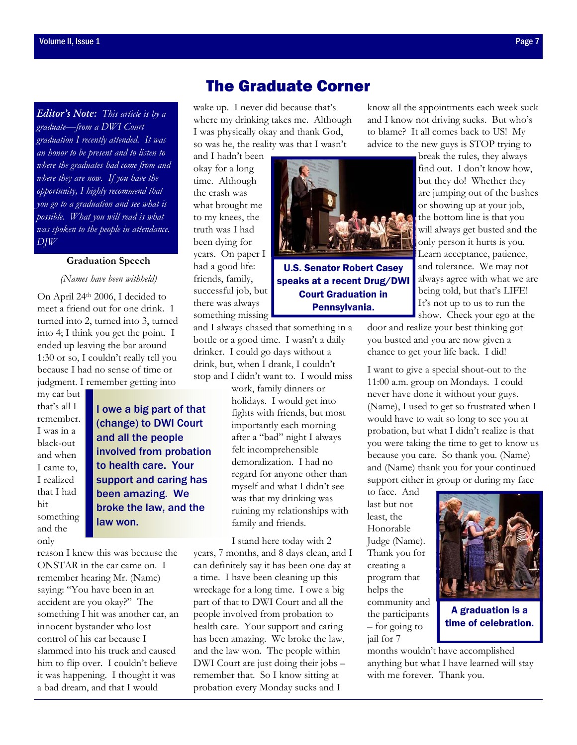<span id="page-6-0"></span>*Editor's Note: This article is by a graduate—from a DWI Court graduation I recently attended. It was an honor to be present and to listen to where the graduates had come from and where they are now. If you have the opportunity, I highly recommend that you go to a graduation and see what is possible. What you will read is what was spoken to the people in attendance. DJW* 

#### **Graduation Speech**

*(Names have been withheld)* 

On April 24th 2006, I decided to meet a friend out for one drink. 1 turned into 2, turned into 3, turned into 4; I think you get the point. I ended up leaving the bar around 1:30 or so, I couldn't really tell you because I had no sense of time or judgment. I remember getting into

my car but that's all I remember. I was in a black-out and when I came to, I realized that I had hit something and the only

I owe a big part of that (change) to DWI Court and all the people involved from probation to health care. Your support and caring has been amazing. We broke the law, and the law won.

reason I knew this was because the ONSTAR in the car came on. I remember hearing Mr. (Name) saying: "You have been in an accident are you okay?" The something I hit was another car, an innocent bystander who lost control of his car because I slammed into his truck and caused him to flip over. I couldn't believe it was happening. I thought it was a bad dream, and that I would

## The Graduate Corner

wake up. I never did because that's where my drinking takes me. Although I was physically okay and thank God, so was he, the reality was that I wasn't

and I hadn't been okay for a long time. Although the crash was what brought me to my knees, the truth was I had been dying for years. On paper I had a good life: friends, family, successful job, but there was always something missing

and I always chased that something in a bottle or a good time. I wasn't a daily drinker. I could go days without a drink, but, when I drank, I couldn't stop and I didn't want to. I would miss

> work, family dinners or holidays. I would get into fights with friends, but most importantly each morning after a "bad" night I always felt incomprehensible demoralization. I had no regard for anyone other than myself and what I didn't see was that my drinking was ruining my relationships with family and friends.

I stand here today with 2 years, 7 months, and 8 days clean, and I can definitely say it has been one day at a time. I have been cleaning up this wreckage for a long time. I owe a big part of that to DWI Court and all the people involved from probation to health care. Your support and caring has been amazing. We broke the law, and the law won. The people within DWI Court are just doing their jobs – remember that. So I know sitting at probation every Monday sucks and I

know all the appointments each week suck and I know not driving sucks. But who's to blame? It all comes back to US! My advice to the new guys is STOP trying to

> break the rules, they always find out. I don't know how, but they do! Whether they are jumping out of the bushes or showing up at your job, the bottom line is that you will always get busted and the only person it hurts is you. Learn acceptance, patience, and tolerance. We may not always agree with what we are being told, but that's LIFE! It's not up to us to run the

show. Check your ego at the door and realize your best thinking got you busted and you are now given a chance to get your life back. I did!

I want to give a special shout-out to the 11:00 a.m. group on Mondays. I could never have done it without your guys. (Name), I used to get so frustrated when I would have to wait so long to see you at probation, but what I didn't realize is that you were taking the time to get to know us because you care. So thank you. (Name) and (Name) thank you for your continued support either in group or during my face

to face. And last but not least, the Honorable Judge (Name). Thank you for creating a program that helps the community and the participants – for going to jail for 7

A graduation is a time of celebration.

months wouldn't have accomplished anything but what I have learned will stay with me forever. Thank you.



U.S. Senator Robert Casey speaks at a recent Drug/DWI Court Graduation in Pennsylvania.